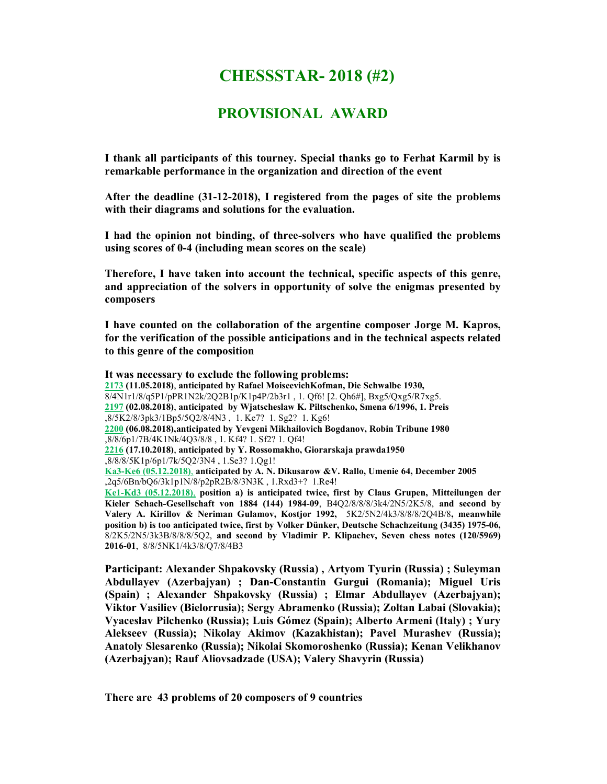# CHESSSTAR- 2018 (#2)

## PROVISIONAL AWARD

I thank all participants of this tourney. Special thanks go to Ferhat Karmil by is remarkable performance in the organization and direction of the event

After the deadline (31-12-2018), I registered from the pages of site the problems with their diagrams and solutions for the evaluation.

I had the opinion not binding, of three-solvers who have qualified the problems using scores of 0-4 (including mean scores on the scale)

Therefore, I have taken into account the technical, specific aspects of this genre, and appreciation of the solvers in opportunity of solve the enigmas presented by composers

I have counted on the collaboration of the argentine composer Jorge M. Kapros, for the verification of the possible anticipations and in the technical aspects related to this genre of the composition

It was necessary to exclude the following problems: 2173 (11.05.2018), anticipated by Rafael MoiseevichKofman, Die Schwalbe 1930, 8/4N1r1/8/q5P1/pPR1N2k/2Q2B1p/K1p4P/2b3r1 , 1. Qf6! [2. Qh6#], Bxg5/Qxg5/R7xg5. 2197 (02.08.2018), anticipated by Wjatscheslaw K. Piltschenko, Smena 6/1996, 1. Preis ,8/5K2/8/3pk3/1Bp5/5Q2/8/4N3 , 1. Ke7? 1. Sg2? 1. Kg6! 2200 (06.08.2018),anticipated by Yevgeni Mikhailovich Bogdanov, Robin Tribune 1980 ,8/8/6p1/7B/4K1Nk/4Q3/8/8 , 1. Kf4? 1. Sf2? 1. Qf4! 2216 (17.10.2018), anticipated by Y. Rossomakho, Giorarskaja prawda1950 ,8/8/8/5K1p/6p1/7k/5Q2/3N4 , 1.Se3? 1.Qg1! Ka3-Ke6 (05.12.2018), anticipated by A. N. Dikusarow &V. Rallo, Umenie 64, December 2005  $\sqrt{2q5/6Bn/bQ6/3k1p1N/8/p2pR2B/8/3N3K}$ , 1.Rxd3+? 1.Re4! Ke1-Kd3 (05.12.2018), position a) is anticipated twice, first by Claus Grupen, Mitteilungen der Kieler Schach-Gesellschaft von 1884 (144) 1984-09, B4Q2/8/8/8/3k4/2N5/2K5/8, and second by Valery A. Kirillov & Neriman Gulamov, Kostjor 1992, 5K2/5N2/4k3/8/8/8/2Q4B/8, meanwhile position b) is too anticipated twice, first by Volker Dünker, Deutsche Schachzeitung (3435) 1975-06, 8/2K5/2N5/3k3B/8/8/8/5Q2, and second by Vladimir P. Klipachev, Seven chess notes (120/5969) 2016-01, 8/8/5NK1/4k3/8/Q7/8/4B3

(Azerbajyan); Rauf Aliovsadzade (USA); Valery Shavyrin (Russia) Participant: Alexander Shpakovsky (Russia) , Artyom Tyurin (Russia) ; Suleyman Abdullayev (Azerbajyan) ; Dan-Constantin Gurgui (Romania); Miguel Uris (Spain) ; Alexander Shpakovsky (Russia) ; Elmar Abdullayev (Azerbajyan); Viktor Vasiliev (Bielorrusia); Sergy Abramenko (Russia); Zoltan Labai (Slovakia); Vyaceslav Pilchenko (Russia); Luis Gómez (Spain); Alberto Armeni (Italy) ; Yury Alekseev (Russia); Nikolay Akimov (Kazakhistan); Pavel Murashev (Russia); Anatoly Slesarenko (Russia); Nikolai Skomoroshenko (Russia); Kenan Velikhanov

There are 43 problems of 20 composers of 9 countries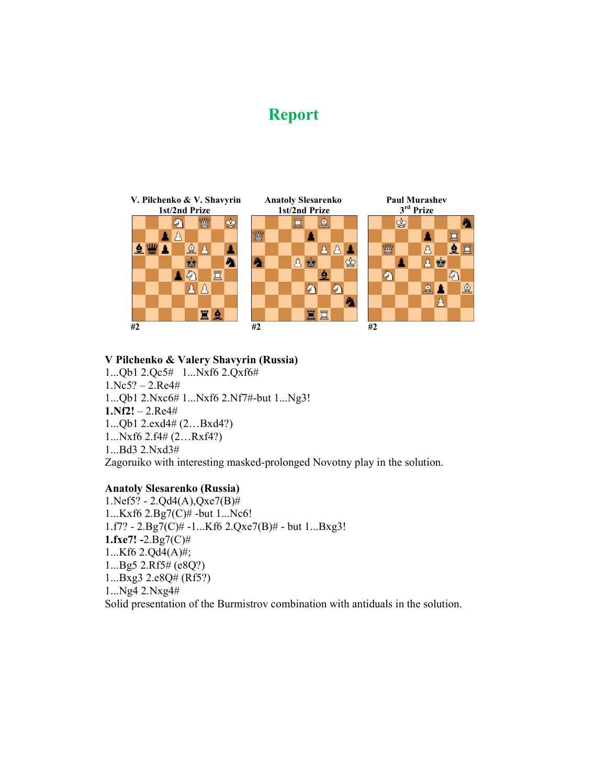# Report



#### V Pilchenko & Valery Shavyrin (Russia)

1...Qb1 2.Qc5# 1...Nxf6 2.Qxf6# 1.Nc5? – 2.Re4# 1...Qb1 2.Nxc6# 1...Nxf6 2.Nf7#-but 1...Ng3!  $1.Nf2! - 2.Re4#$ 1...Qb1 2.exd4# (2…Bxd4?) 1...Nxf6 2.f4# (2…Rxf4?) 1...Bd3 2.Nxd3# Zagoruiko with interesting masked-prolonged Novotny play in the solution.

## Anatoly Slesarenko (Russia)

1.Nef5? - 2.Qd4(A),Qxe7(B)# 1...Kxf6 2.Bg7(C)# -but 1...Nc6! 1.f7? - 2.Bg7(C)# -1...Kf6 2.Qxe7(B)# - but 1...Bxg3! 1.fxe7!  $-2.Bg7(C)$ # 1...Kf6 2.Qd4(A)#; 1...Bg5 2.Rf5# (e8Q?) 1...Bxg3 2.e8Q# (Rf5?) 1...Ng4 2.Nxg4# Solid presentation of the Burmistrov combination with antiduals in the solution.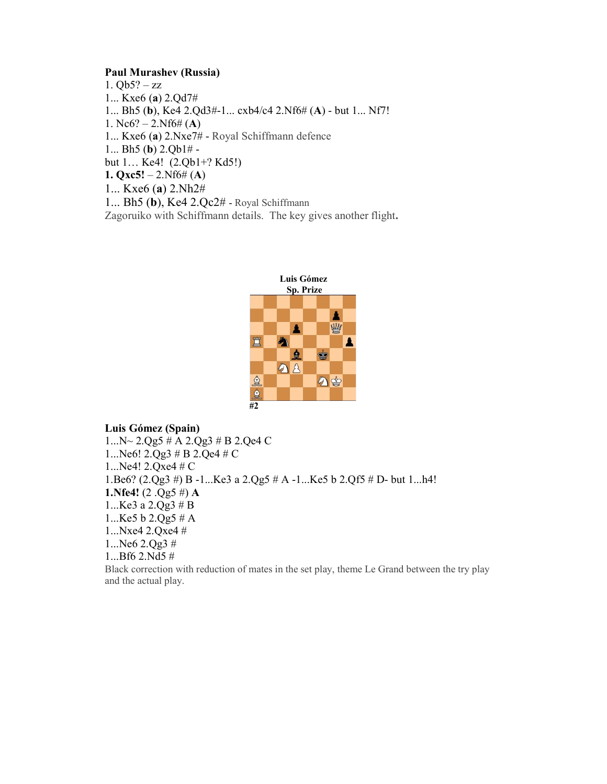#### Paul Murashev (Russia)

1.  $Qb5? - zz$ 1... Kxe6 (a) 2.Qd7# 1... Bh5 (b), Ke4 2.Qd3#-1... cxb4/c4 2.Nf6# (A) - but 1... Nf7! 1. Nc6? – 2.Nf6# (A) 1... Kxe6 (a) 2.Nxe7# - Royal Schiffmann defence 1... Bh5 (b) 2.Qb1# but 1… Ke4! (2.Qb1+? Kd5!) 1. Qxc5! – 2.Nf6# (A) 1... Kxe6 (a) 2.Nh2# 1... Bh5 (b), Ke4 2.Qc2# - Royal Schiffmann Zagoruiko with Schiffmann details. The key gives another flight.



Luis Gómez (Spain) 1...N~ 2.Qg5 # A 2.Qg3 # B 2.Qe4 C 1...Ne6! 2.Qg3 # B 2.Qe4 # C 1...Ne4! 2.Qxe4 # C 1.Be6? (2.Qg3 #) B -1...Ke3 a 2.Qg5 # A -1...Ke5 b 2.Qf5 # D- but 1...h4! **1.Nfe4!**  $(2.Qg5 \#)$  **A** 1...Ke3 a 2.Qg3 # B 1...Ke5 b  $2.Qg5 \# A$ 1...Nxe4 2.Qxe4 # 1...Ne6 2.Qg3 # 1...Bf6 2.Nd5 # Black correction with reduction of mates in the set play, theme Le Grand between the try play and the actual play.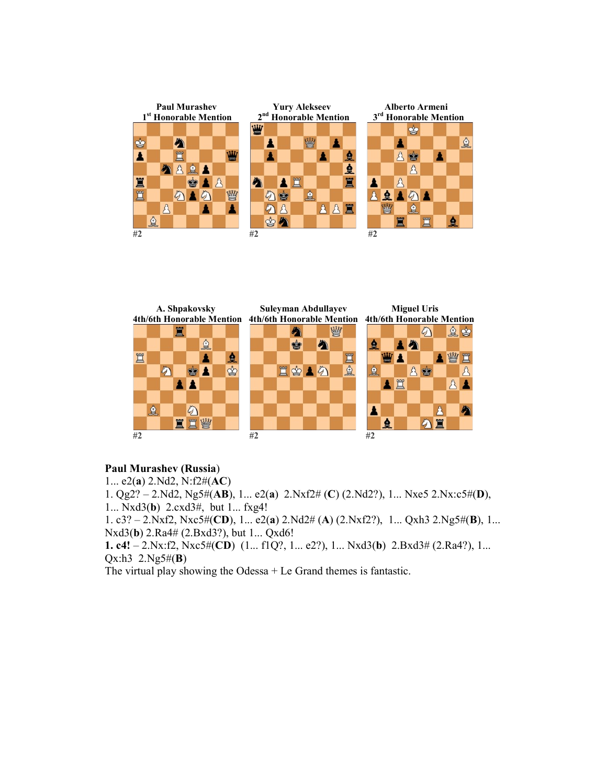



#### Paul Murashev (Russia)

1... e2(a) 2.Nd2, N:f2#(AC) 1. Qg2? – 2.Nd2, Ng5#(AB), 1... e2(a) 2.Nxf2# (C) (2.Nd2?), 1... Nxe5 2.Nx:c5#(D), 1... Nxd3(b) 2.cxd3#, but 1... fxg4! 1. c3? – 2.Nxf2, Nxc5#(CD), 1... e2(a) 2.Nd2# (A) (2.Nxf2?), 1... Qxh3 2.Ng5#(B), 1... Nxd3(b) 2.Ra4# (2.Bxd3?), but 1... Qxd6! 1. c4! – 2.Nx:f2, Nxc5#(CD) (1... f1Q?, 1... e2?), 1... Nxd3(b) 2.Bxd3# (2.Ra4?), 1...  $Qx:h3$  2.Ng5# $(B)$ The virtual play showing the Odessa  $+$  Le Grand themes is fantastic.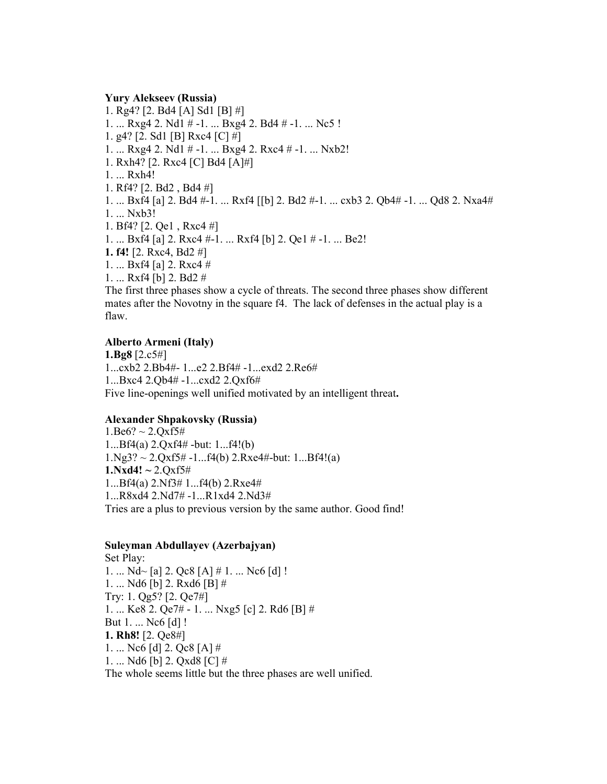#### Yury Alekseev (Russia)

1. Rg4? [2. Bd4 [A] Sd1 [B] #] 1. ... Rxg4 2. Nd1 # -1. ... Bxg4 2. Bd4 # -1. ... Nc5 ! 1. g4? [2. Sd1 [B] Rxc4 [C] #] 1. ... Rxg4 2. Nd1 # -1. ... Bxg4 2. Rxc4 # -1. ... Nxb2! 1. Rxh4? [2. Rxc4 [C] Bd4 [A]#] 1. ... Rxh4! 1. Rf4? [2. Bd2 , Bd4 #] 1. ... Bxf4 [a] 2. Bd4 #-1. ... Rxf4 [[b] 2. Bd2 #-1. ... cxb3 2. Qb4# -1. ... Qd8 2. Nxa4# 1. ... Nxb3! 1. Bf4? [2. Qe1 , Rxc4 #] 1. ... Bxf4 [a] 2. Rxc4 #-1. ... Rxf4 [b] 2. Qe1 # -1. ... Be2! 1. f4! [2. Rxc4, Bd2 #] 1. ... Bxf4 [a] 2. Rxc4 # 1. ... Rxf4 [b] 2. Bd2 # The first three phases show a cycle of threats. The second three phases show different

mates after the Novotny in the square f4. The lack of defenses in the actual play is a flaw.

#### Alberto Armeni (Italy)

1.Bg8 [2.c5#] 1...cxb2 2.Bb4#- 1...e2 2.Bf4# -1...exd2 2.Re6# 1...Bxc4 2.Qb4# -1...cxd2 2.Qxf6# Five line-openings well unified motivated by an intelligent threat.

### Alexander Shpakovsky (Russia)

 $1.$ Be $6? \sim 2.$ Oxf5# 1...Bf4(a) 2.Qxf4# -but: 1...f4!(b)  $1.Ng3? \sim 2.Qxf5\# -1...f4(b) 2.Rxe4\#-but: 1...Bf4!(a)$  $1. Nxd4! \sim 2. Qxf5#$ 1...Bf4(a) 2.Nf3# 1...f4(b) 2.Rxe4# 1...R8xd4 2.Nd7# -1...R1xd4 2.Nd3# Tries are a plus to previous version by the same author. Good find!

#### Suleyman Abdullayev (Azerbajyan)

Set Play: 1. ...  $Nd$  [a] 2. Qc8 [A] # 1. ... Nc6 [d] ! 1. ... Nd6 [b] 2. Rxd6 [B] # Try: 1. Qg5? [2. Qe7#] 1. ... Ke8 2. Qe7# - 1. ... Nxg5 [c] 2. Rd6 [B] # But 1. ... Nc6 [d] ! 1. Rh8! [2. Qe8#] 1. ... Nc6 [d] 2. Qc8 [A] # 1. ... Nd6 [b] 2. Qxd8 [C] # The whole seems little but the three phases are well unified.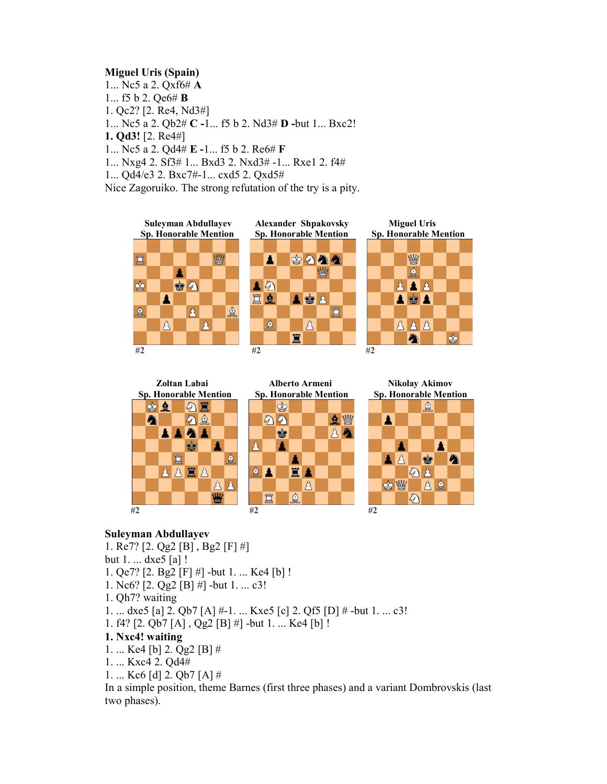## Miguel Uris (Spain)

1... Nc5 a 2. Qxf6# A 1... f5 b 2. Qe6# B 1. Qc2? [2. Re4, Nd3#] 1... Nc5 a 2. Qb2# C -1... f5 b 2. Nd3# D -but 1... Bxc2! 1. Qd3! [2. Re4#] 1... Nc5 a 2. Qd4# E -1... f5 b 2. Re6# F 1... Nxg4 2. Sf3# 1... Bxd3 2. Nxd3# -1... Rxe1 2. f4# 1... Qd4/e3 2. Bxc7#-1... cxd5 2. Qxd5# Nice Zagoruiko. The strong refutation of the try is a pity.









### Suleyman Abdullayev

1. Re7? [2. Qg2 [B] , Bg2 [F] #] but 1. ... dxe5 [a] ! 1. Qe7? [2. Bg2 [F] #] -but 1. ... Ke4 [b] ! 1. Nc6? [2. Qg2 [B] #] -but 1. ... c3! 1. Qh7? waiting 1. ... dxe5 [a] 2. Qb7 [A] #-1. ... Kxe5 [c] 2. Qf5 [D] # -but 1. ... c3! 1. f4? [2. Qb7 [A] , Qg2 [B] #] -but 1. ... Ke4 [b] ! 1. Nxc4! waiting 1. ... Ke4 [b] 2. Qg2 [B] # 1. ... Kxc4 2. Qd4# 1. ... Kc6 [d] 2. Qb7 [A] # In a simple position, theme Barnes (first three phases) and a variant Dombrovskis (last

two phases).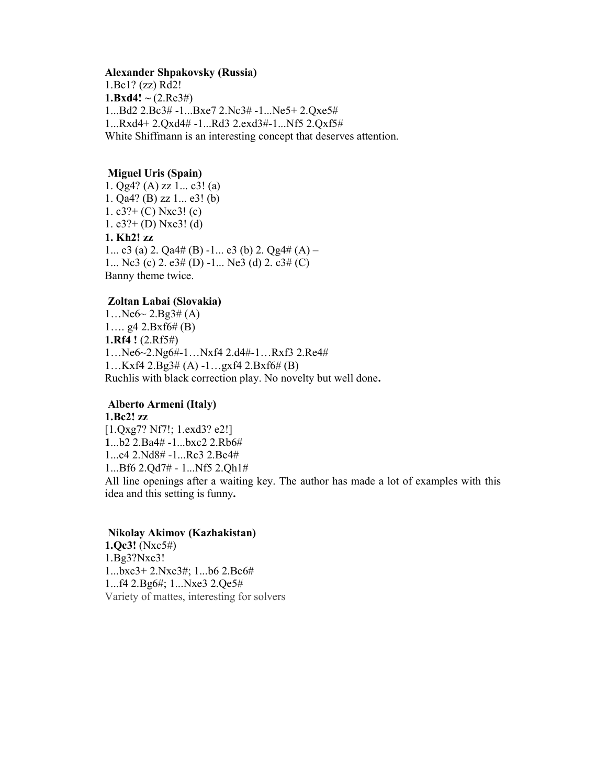#### Alexander Shpakovsky (Russia)

1.Bc1? (zz) Rd2! 1.Bxd4!  $\sim$  (2.Re3#) 1...Bd2 2.Bc3# -1...Bxe7 2.Nc3# -1...Ne5+ 2.Qxe5# 1...Rxd4+ 2.Qxd4# -1...Rd3 2.exd3#-1...Nf5 2.Qxf5# White Shiffmann is an interesting concept that deserves attention.

#### Miguel Uris (Spain)

1. Qg4? (A) zz 1... c3! (a) 1. Qa4? (B) zz 1... e3! (b) 1. c3?+ (C) Nxc3! (c) 1. e3?+ (D) Nxe3! (d) 1. Kh2! zz 1... c3 (a) 2.  $\text{Qa4#}$  (B) -1... e3 (b) 2.  $\text{Qg4#}$  (A) – 1... Nc3 (c) 2. e3# (D) -1... Ne3 (d) 2. c3# (C) Banny theme twice.

#### Zoltan Labai (Slovakia)

 $1...$ Ne $6$   $\sim$   $2.Bg3# (A)$ 1....  $g4 \ 2.Bxf6# (B)$ 1.Rf4 ! (2.Rf5#) 1…Ne6~2.Ng6#-1…Nxf4 2.d4#-1…Rxf3 2.Re4# 1…Kxf4 2.Bg3# (A) -1…gxf4 2.Bxf6# (B) Ruchlis with black correction play. No novelty but well done.

## Alberto Armeni (Italy)

1.Bc2! zz [1.Qxg7? Nf7!; 1.exd3? e2!] 1...b2 2.Ba4# -1...bxc2 2.Rb6# 1...c4 2.Nd8# -1...Rc3 2.Be4# 1...Bf6 2.Qd7# - 1...Nf5 2.Qh1# All line openings after a waiting key. The author has made a lot of examples with this idea and this setting is funny.

#### Nikolay Akimov (Kazhakistan)

1.Qc3! (Nxc5#) 1.Bg3?Nxe3! 1...bxc3+ 2.Nxc3#; 1...b6 2.Bc6# 1...f4 2.Bg6#; 1...Nxe3 2.Qe5# Variety of mattes, interesting for solvers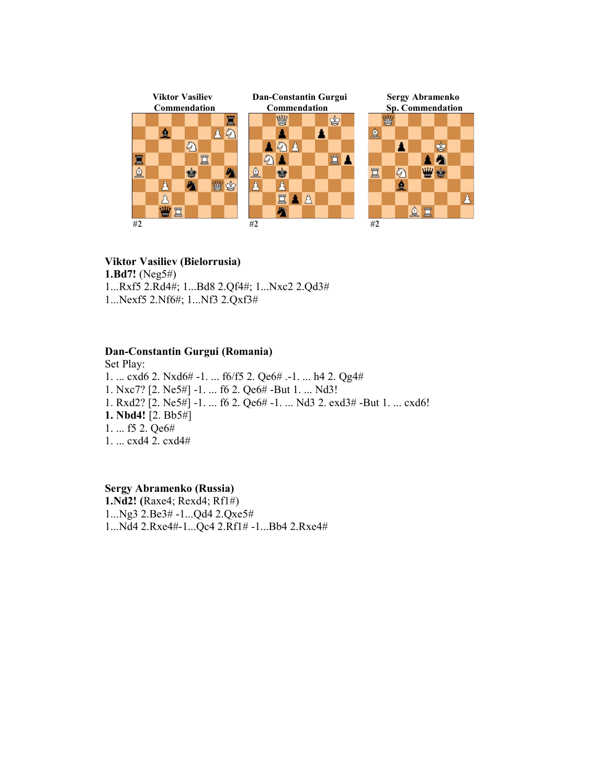

## Viktor Vasiliev (Bielorrusia)

1.Bd7! (Neg5#)

1...Rxf5 2.Rd4#; 1...Bd8 2.Qf4#; 1...Nxc2 2.Qd3# 1...Nexf5 2.Nf6#; 1...Nf3 2.Qxf3#

## Dan-Constantin Gurgui (Romania)

Set Play: 1. ... cxd6 2. Nxd6# -1. ... f6/f5 2. Qe6# .-1. ... h4 2. Qg4# 1. Nxc7? [2. Ne5#] -1. ... f6 2. Qe6# -But 1. ... Nd3! 1. Rxd2? [2. Ne5#] -1. ... f6 2. Qe6# -1. ... Nd3 2. exd3# -But 1. ... cxd6! 1. Nbd4! [2. Bb5#] 1. ... f5 2. Qe6# 1. ... cxd4 2. cxd4#

Sergy Abramenko (Russia) 1.Nd2! (Raxe4; Rexd4; Rf1#) 1...Ng3 2.Be3# -1...Qd4 2.Qxe5# 1...Nd4 2.Rxe4#-1...Qc4 2.Rf1# -1...Bb4 2.Rxe4#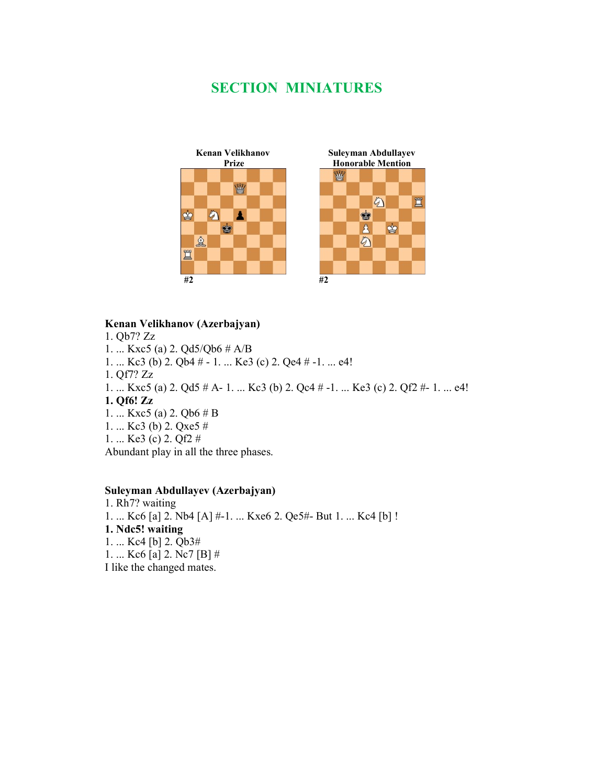# SECTION MINIATURES



#### Kenan Velikhanov (Azerbajyan)

1. Qb7? Zz 1. ... Kxc5 (a) 2. Qd5/Qb6 # A/B 1. ... Kc3 (b) 2. Qb4 # - 1. ... Ke3 (c) 2. Qe4 # -1. ... e4! 1. Qf7? Zz 1. ... Kxc5 (a) 2. Qd5 # A- 1. ... Kc3 (b) 2. Qc4 # -1. ... Ke3 (c) 2. Qf2 #- 1. ... e4! 1. Qf6! Zz 1. ... Kxc5 (a) 2. Qb6 # B 1. ... Kc3 (b) 2. Qxe5 # 1. ... Ke3 (c) 2. Qf2 # Abundant play in all the three phases.

## Suleyman Abdullayev (Azerbajyan)

1. Rh7? waiting 1. ... Kc6 [a] 2. Nb4 [A] #-1. ... Kxe6 2. Qe5#- But 1. ... Kc4 [b] ! 1. Ndc5! waiting 1. ... Kc4 [b] 2. Qb3# 1. ... Kc6 [a] 2. Nc7 [B] # I like the changed mates.